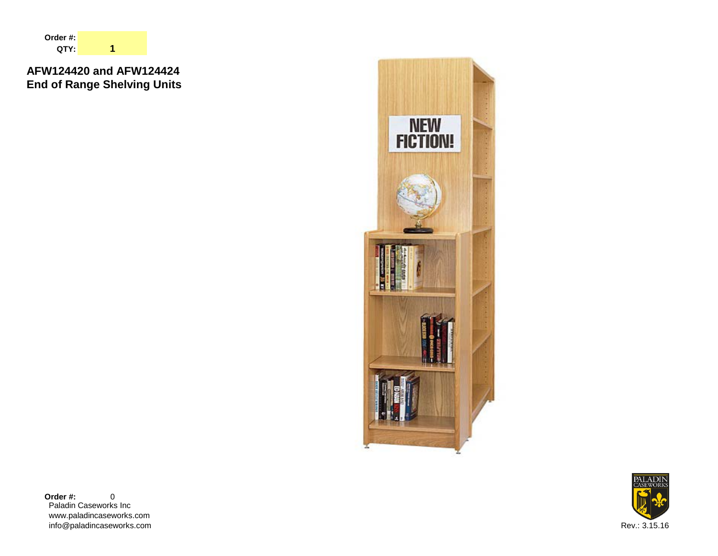

# **AFW124420 and AFW124424 End of Range Shelving Units**



Paladin Caseworks Inc www.paladincaseworks.com info@paladincaseworks.com Rev.: 3.15.16 **Order #:** 0

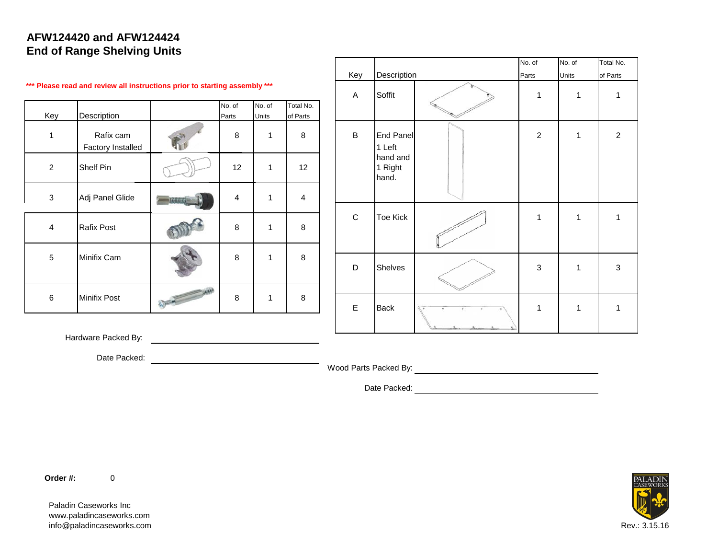### **AFW124420 and AFW124424 End of Range Shelving Units**

|                |                                                                            |                         |                 |                       |             |                              | No. of         | No. of | Total No.      |
|----------------|----------------------------------------------------------------------------|-------------------------|-----------------|-----------------------|-------------|------------------------------|----------------|--------|----------------|
|                |                                                                            |                         |                 |                       | Key         | Description                  | Parts          | Units  | of Parts       |
|                | *** Please read and review all instructions prior to starting assembly *** |                         |                 |                       | A           | Soffit                       |                |        | $\mathbf{1}$   |
| Key            | Description                                                                | No. of<br>Parts         | No. of<br>Units | Total No.<br>of Parts |             |                              |                |        |                |
|                | Rafix cam<br><b>Factory Installed</b>                                      | 8                       |                 | 8                     | $\sf B$     | <b>End Panel</b><br>1 Left   | $\overline{c}$ |        | $\overline{2}$ |
| $\overline{2}$ | Shelf Pin                                                                  | 12                      | 1               | 12                    |             | hand and<br>1 Right<br>hand. |                |        |                |
| 3              | Adj Panel Glide                                                            | $\overline{\mathbf{4}}$ |                 | $\overline{4}$        |             |                              |                |        |                |
| 4              | <b>Rafix Post</b>                                                          | 8                       |                 | 8                     | $\mathbf C$ | <b>Toe Kick</b>              |                |        | $\mathbf{1}$   |
| 5              | Minifix Cam                                                                | 8                       |                 | 8                     | D           | Shelves                      | 3              | 1      | $\mathbf{3}$   |
|                |                                                                            |                         |                 |                       |             |                              |                |        |                |
| 6              | <b>Minifix Post</b>                                                        | 8                       |                 | 8                     | $\mathsf E$ | <b>Back</b>                  | 1              |        | $\mathbf{1}$   |
|                |                                                                            |                         |                 |                       |             |                              |                |        |                |

Hardware Packed By:

Date Packed:

Wood Parts Packed By: New York Parts Packed By:

Date Packed:

**Order #:** 0

Paladin Caseworks Inc www.paladincaseworks.com info@paladincaseworks.com Rev.: 3.15.16

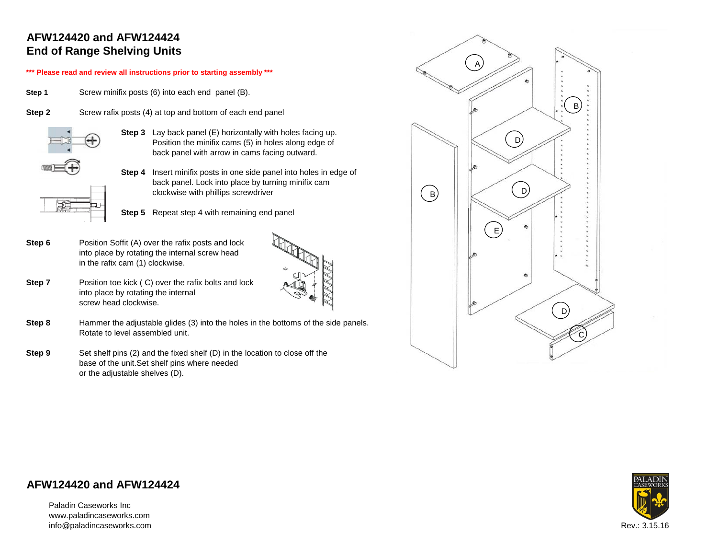## **AFW124420 and AFW124424 End of Range Shelving Units**

#### **\*\*\* Please read and review all instructions prior to starting assembly \*\*\***

**Step 1** Screw minifix posts (6) into each end panel (B).

| Step 2 | Screw rafix posts (4) at top and bottom of each end panel |  |  |
|--------|-----------------------------------------------------------|--|--|



**Step 3** Lay back panel (E) horizontally with holes facing up. Position the minifix cams (5) in holes along edge of back panel with arrow in cams facing outward.

**Step 4** Insert minifix posts in one side panel into holes in edge of back panel. Lock into place by turning minifix cam clockwise with phillips screwdriver

**Step 5** Repeat step 4 with remaining end panel

**Step 6** Position Soffit (A) over the rafix posts and lock into place by rotating the internal screw head in the rafix cam (1) clockwise.



- **Step 7** Position toe kick (C) over the rafix bolts and lock into place by rotating the internal screw head clockwise.
- **Step 8** Hammer the adjustable glides (3) into the holes in the bottoms of the side panels. Rotate to level assembled unit.
- **Step 9** Set shelf pins (2) and the fixed shelf (D) in the location to close off the base of the unit.Set shelf pins where needed or the adjustable shelves (D).



### **AFW124420 and AFW124424**

Paladin Caseworks Inc www.paladincaseworks.com info@paladincaseworks.com Rev.: 3.15.16